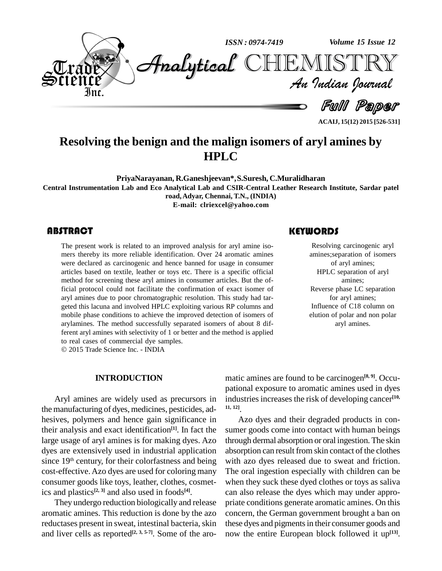

**ACAIJ, 15(12) 2015 [526-531]**

# **Resolving the benign and the malign isomers of aryl amines by HPLC**

**PriyaNarayanan, R.Ganeshjeevan\*,S.Suresh, C.Muralidharan Central Instrumentation Lab and Eco Analytical Lab and CSIR-Central Leather Research Institute, Sardar patel road,Adyar, Chennai, T.N., (INDIA) E-mail: [clriexcel@yahoo.com](mailto:clriexcel@yahoo.com)**

The present work is related mers thereby its more a were declared as carcine The present work is related to an improved analysis for aryl amine iso mers thereby its more reliable identification. Over 24 aromatic amines were declared as carcinogenic and hence banned for usage in consumer articles based on textile, leather or toys etc. There is a specific official method for screening these aryl amines in consumer articles. But the official protocol could not facilitate the confirmation of exact isomer of aryl amines due to poor chromatographic resolution. This study had tar geted this lacuna and involved HPLC exploiting various RP columns and mobile phase conditions to achieve the improved detection of isomers of arylamines. The method successfully separated isomers of about 8 different aryl amines with selectivity of 1 or better and the method is applied to real cases of commercial dye samples. 2015 Trade Science Inc. - INDIA

# **KEYWORDS**

Resolving carcinogenes;<br>amines;separation of<br>of aryl amine Resolving carcinogenic aryl amines; separation of isomers of aryl amines; HPLC separation of aryl amines; Reverse phase LC separation for aryl amines; Influence of C18 column on elution of polar and non polar aryl amines.

### **INTRODUCTION**

Aryl amines are widely used as precursors in the manufacturing of dyes, medicines, pesticides, ad- $^{11, 12}$ . hesives, polymers and hence gain significance in their analysis and exact identification **[1]**. In fact the large usage of aryl amines is for making dyes. Azo dyes are extensively used in industrial application since 19<sup>th</sup> century, for their colorfastness and being with a cost-effective.Azo dyes are used for coloring many consumer goods like toys, leather, clothes, cosmetics and plastics **[2, 3]** and also used in foods **[4]**.

They undergo reduction biologically and release aromatic amines. This reduction is done by the azo reductases present in sweat, intestinal bacteria, skin and liver cells as reported **[2, 3, 5-7]**. Some of the aro-

matic amines are found to be carcinogen **[8, 9]**. Occu pational exposure to aromatic amines used in dyes industries increases the risk of developing cancer<sup>[10,</sup>

Azo dyes and their degraded products in consumer goods come into contact with human beings through dermal absorption or oral ingestion. The skin absorption can result from skin contact of the clothes with azo dyes released due to sweat and friction. The oral ingestion especially with children can be when they suck these dyed clothes or toys as saliva can also release the dyes which may under appro priate conditions generate aromatic amines. On this concern, the German government brought a ban on these dyes and pigments in their consumer goods and now the entire European block followed it up **[13]**.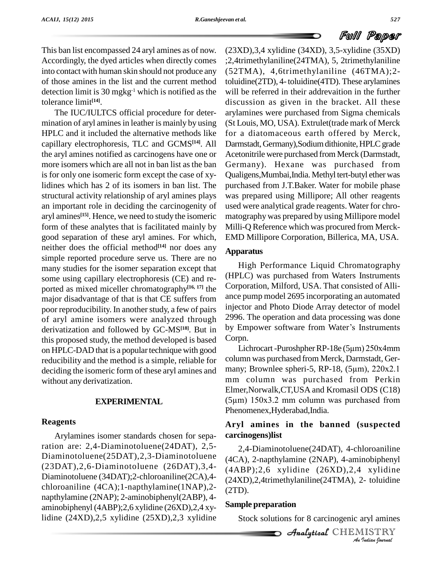# Full Paper

This ban list encompassed 24 arylamines as of now. Accordingly, the dyed articles when directly comes into contact with human skin should not produce any of those amines in the list and the current method detection limit is  $30 \text{ mgkg}$ <sup>1</sup> which is notified as the will b tolerance limit **[14]**.

The IUC/IULTCS official procedure for deter mination of aryl amines in leather is mainly by using HPLC and it included the alternative methods like capillary electrophoresis, TLC and GCMS **[14]**. All the aryl amines notified as carcinogens have one or more isomers which are all not in ban list as the ban is for only one isomeric form except the case of xylidines which has 2 of its isomers in ban list.The structural activity relationship of aryl amines plays an important role in deciding the carcinogenity of aryl amines<sup>[15]</sup>. Hence, we need to study the isomeric matog form of these analytes that is facilitated mainly by good separation of these aryl amines. For which, neither does the official method<sup>[14]</sup> nor does any  $\Delta_{\text{max}}$ simple reported procedure serve us. There are no many studies for the isomer separation except that some using capillary electrophoresis (CE) and re ported as mixed miceller chromatography **[16, 17]** the major disadvantage of that is that CE suffers from poor reproducibility. In another study, a few of pairs of aryl amine isomers were analyzed through 2996. The operation and data processing was done<br>derivatization and followed by GC-MS<sup>[18]</sup> But in by Empower software from Water's Instruments derivatization and followed by GC-MS **[18]**. But in this proposed study, the method developed is based on HPLC-DAD that is a popular technique with good reducibility and the method is a simple, reliable for column was purchased from Merck, Darmstadt, Ger-<br>deciding the isomeric form of these aryl amines and many; Brownlee spheri-5, RP-18, (5µm), 220x2.1 deciding the isomeric form of these aryl amines and without any derivatization.

# **EXPERIMENTAL**

# **Reagents**

Arylamines isomer standards chosen for separation are: 2,4-Diaminotoluene(24DAT), 2,5- Diaminotoluene(25DAT),2,3-Diaminotoluene (23DAT),2,6-Diaminotoluene (26DAT),3,4- Diaminotoluene (34DAT);2-chloroaniline(2CA),4 chloroaniline (4CA);1-napthylamine(1NAP),2 napthylamine (2NAP); 2-aminobiphenyl(2ABP), 4 aminobiphenyl (4ABP);2,6 xylidine (26XD),2,4 xylidine (24XD),2,5 xylidine (25XD),2,3 xylidine (23XD),3,4 xylidine (34XD), 3,5-xylidine (35XD) ;2,4trimethylaniline(24TMA), 5, 2trimethylaniline (52TMA), 4,6trimethylaniline (46TMA);2 toluidine(2TD), 4-toluidine(4TD). These arylamines will be referred in their addrevaition in the further discussion as given in the bracket. All these arylamines were purchased from Sigma chemicals (St Louis, MO, USA). Extrulet(trade mark of Merck for a diatomaceous earth offered by Merck, Darmstadt, Germany), Sodium dithionite, HPLC grade Acetonitrile were purchased from Merck (Darmstadt, Germany). Hexane was purchased from Qualigens,Mumbai,India. Methyl tert-butyl ether was purchased from J.T.Baker. Water for mobile phase was prepared using Millipore; All other reagents used were analytical grade reagents. Water for chro matography was prepared by using Millipore model Milli-Q Reference which was procured from Merck- EMD Millipore Corporation, Billerica, MA, USA.

# **Apparatus**

High Performance Liquid Chromatography (HPLC) was purchased from Waters Instruments Corporation, Milford, USA. That consisted of Alli ance pump model 2695 incorporating an automated injector and Photo Diode Array detector of model by Empower software from Waterís Instruments 2996. The operation and data processing was done Corpn.

Lichrocart-PuroshpherRP-18e (5µm) 250x4mm column was purchased from Merck, Darmstadt, Ger- Lichrocart -Puroshpher RP-18e (5µm) 250x4mm<br>column was purchased from Merck, Darmstadt, Ger-<br>many; Brownlee spheri-5, RP-18, (5µm), 220x2.1 mm column was purchased from Perkin<br>Elmer,Norwalk,CT,USA and Kromasil ODS (C18)<br>(5µm) 150x3.2 mm column was purchased from Elmer, Norwalk, CT, USA and Kromasil ODS (C18) Phenomenex,Hyderabad,India.

# **Aryl amines in the banned (suspected carcinogens)list**

(24XD),2,4trimethylaniline(24TMA), 2- toluidine<br>
(2TD).<br> **Sample preparation**<br>
Stock solutions for 8 carcinogenic aryl amines<br> *Analytteal* CHEMISTRY<br> *Analytteal* CHEMISTRY 2,4-Diaminotoluene(24DAT), 4-chloroaniline (4CA), 2-napthylamine (2NAP), 4-aminobiphenyl (4ABP);2,6 xylidine (26XD),2,4 xylidine (2TD).

# **Sample preparation**

Stock solutions for 8 carcinogenic aryl amines

**Analytical** CHEMISTRY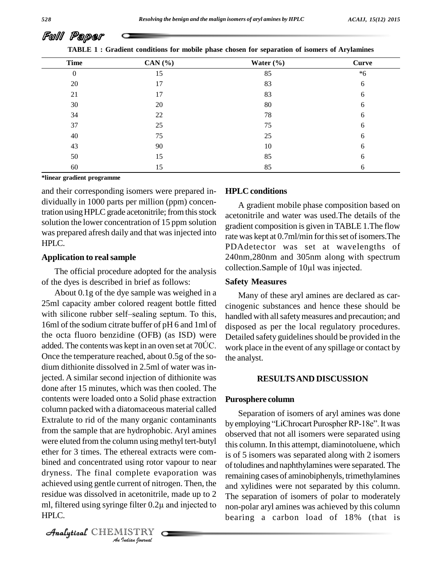| TABLE 1 : Gradient conditions for mobile phase chosen for separation of isomers of Arylamines<br><b>Time</b><br>CAN (%) |    | Water $(\% )$ | Curve |
|-------------------------------------------------------------------------------------------------------------------------|----|---------------|-------|
|                                                                                                                         |    |               |       |
| $\Omega$                                                                                                                | 15 | 85            | $*6$  |
| 20                                                                                                                      | 17 | 83            | 6     |
| 21                                                                                                                      | 17 | 83            | 6     |
| 30                                                                                                                      | 20 | 80            | 6     |
| 34                                                                                                                      | 22 | 78            | 6     |
| 37                                                                                                                      | 25 | 75            | h.    |
| 40                                                                                                                      | 75 | 25            | h.    |
| 43                                                                                                                      | 90 | 10            | h.    |
| 50                                                                                                                      | 15 | 85            | 6     |
| 60                                                                                                                      | 15 | 85            | 6     |

**\*linear gradient programme**

and their corresponding isomers were prepared in dividually in 1000 parts per million (ppm) concentration using HPLC grade acetonitrile; from this stock solution the lower concentration of 15 ppm solution was prepared afresh daily and that was injected into  $HPLC$ .

#### **Application to realsample**

The official procedure adopted for the analysis collection. Sample of 10 $\mu$ l was injected. of the dyes is described in brief as follows:

Analyticalachieved using gentle current of nitrogen. Then, the and xy<br>residue was dissolved in acetonitrile, made up to 2 The se<br>ml, filtered using syringe filter 0.2μ and injected to non-po **I**n acetonitril<br> **In** acetonitril<br> **IISTRY**<br> *IISTRY* About 0.1g of the dye sample was weighed in a 25ml capacity amber colored reagent bottle fitted cinoge About 0.1g of the dye sample was weighed in a<br>25ml capacity amber colored reagent bottle fitted<br>with silicone rubber self-sealing septum. To this, ha 16ml of the sodium citrate buffer of pH 6 and 1ml of disp<br>the octa fluoro benzidine (OFB) (as ISD) were Det<br>added. The contents was kept in an oven set at 70 $\dot{\text{UC}}$ . the octa fluoro benzidine (OFB) (as ISD) were Once the temperature reached, about 0.5g of the so dium dithionite dissolved in 2.5ml of water was injected. A similar second injection of dithionite was done after 15 minutes, which was then cooled. The contents were loaded onto a Solid phase extraction column packed with a diatomaceous material called Extralute to rid of the many organic contaminants from the sample that are hydrophobic. Aryl amines were eluted from the column using methyl tert-butyl ether for 3 times. The ethereal extracts were com bined and concentrated using rotor vapour to near dryness. The final complete evaporation was residue was dissolved in acetonitrile, made up to 2 HPLC.

CHEMISTRY COMPANY

#### **HPLC conditions**

A gradient mobile phase composition based on acetonitrile and water was used.The details of the gradient composition is given in TABLE 1. The flow rate was kept at 0.7ml/min for this set of isomers. The PDAdetector was set at wavelengths of<br>240nm, 280nm and 305nm along with spectrum<br>collection. Sample of 10µl was injected. 240nm,280nm and 305nm along with spectrum

#### **Safety Measures**

Many of these aryl amines are declared as car cinogenic substances and hence these should be handled with all safety measures and precaution; and disposed as per the local regulatory procedures. Detailed safety guidelines should be provided in the work place in the event of any spillage or contact by the analyst.

#### **RESULTSAND DISCUSSION**

#### **Purosphere column**

Separation of isomers of aryl amines was done by employing "LiChrocart Purospher RP-18e". It was observed that not all isomers were separated using this column. In this attempt, diaminotoluene, which is of 5 isomers was separated along with 2 isomers of toludines and naphthylamines were separated. The remaining cases of aminobiphenyls, trimethylamines and xylidines were not separated by this column. The separation of isomers of polar to moderately non-polar aryl amines was achieved by this column bearing a carbon load of 18% (that is

Full Paper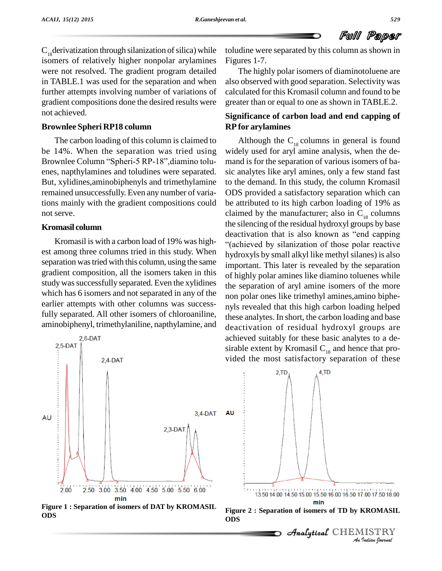

 $C_{18}$ derivatization through silanization of silica) while isomers of relatively higher nonpolar arylamines were not resolved. The gradient program detailed in TABLE.1 was used for the separation and when further attempts involving number of variations of gradient compositions done the desired results were not achieved.

# **Brownlee Spheri RP18 column**

The carbon loading of this column is claimed to be 14%. When the separation was tried using The carbon loading of this column is claimed to<br>be 14%. When the separation was tried using wid<br>Brownlee Column "Spheri-5 RP-18",diamino tolu- mai enes, napthylamines and toludines were separated. But, xylidines,aminobiphenyls and trimethylamine remained unsuccessfully. Even any number of variations mainly with the gradient compositions could not serve.

# **Kromasil column**

est among three columns tried in this study. When separation wastried with this column, using the same gradient composition, all the isomers taken in this study was successfully separated. Even the xylidines which has 6 isomers and not separated in any of the earlier attempts with other columns was successfully separated. All other isomers of chloroaniline, aminobiphenyl, trimethylaniline, napthylamine, and

 $2.6-DAT$  $2,5-DAT$  $2.4-DAT$  $3,4-DAT$ **AU**  $2,3-DAT$ 2.50 3.00 3.50 4.00 4.50 5.00 5.50 6.00 2.00 min

**Figure 1 : Separation of isomers of DAT by KROMASIL ODS**

toludine were separated by this column as shown in Figures 1-7.

The highly polar isomers of diaminotoluene are also observed with good separation. Selectivity was calculated for this Kromasil column and found to be greater than or equal to one as shown in TABLE.2.

# **Significance of carbon load and end capping of RP for arylamines**

deactivation that is also known as "end capping<br>Kromasil is with a carbon load of 19% was high-<br>"(achieved by silanization of those polar reactive) Although the  $C_{18}$  columns in general is found widely used for aryl amine analysis, when the de mand is for the separation of various isomers of basic analytes like aryl amines, only a few stand fast to the demand. In this study, the column Kromasil ODS provided a satisfactory separation which can be attributed to its high carbon loading of 19% as claimed by the manufacturer; also in  $C_{18}$  columns<br>the silencing of the residual hydroxyl groups by base<br>deactivation that is also known as "end capping the silencing of the residual hydroxyl groups by base<br>deactivation that is also known as "end capping<br>"(achieved by silanization of those polar reactive hydroxyls by small alkyl like methyl silanes) is also important. This later is revealed by the separation of highly polar amines like diamino toluenes while the separation of aryl amine isomers of the more non polar ones like trimethyl amines,amino biphe nyls revealed that this high carbon loading helped these analytes. In short, the carbon loading and base deactivation of residual hydroxyl groups are achieved suitably for these basic analytes to a de sirable extent by Kromasil  $C_{18}$  and hence that pro-<br>vided the most satisfactory separation of these



 $\mathcal{A}$ nalytical  $\mathbb{CHEMISTRY}$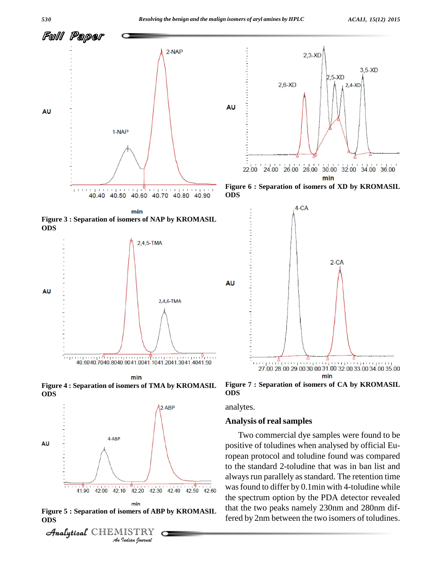



min







**Figure 5 : Separation of isomers of ABP by KROMASIL ODS**





**Figure 6 : Separation of isomers of XD by KROMASIL ODS**



**Figure 7 : Separation of isomers of CA by KROMASIL ODS**

analytes.

AU

#### **Analysis of realsamples**

Two commercial dye samples were found to be positive of toludines when analysed by official European protocol and toludine found was compared to the standard 2-toludine that was in ban list and always run parallely as standard. The retention time wasfound to differ by 0.1min with 4-toludine while the spectrum option by the PDA detector revealed that the two peaks namely 230nm and 280nm differed by 2nm between the two isomers of toludines.